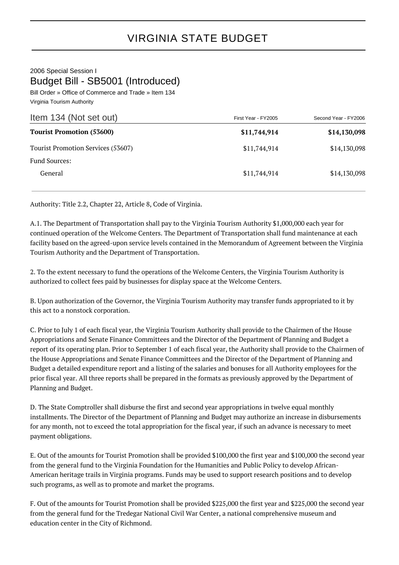2006 Special Session I Budget Bill - SB5001 (Introduced)

Bill Order » Office of Commerce and Trade » Item 134 Virginia Tourism Authority

| Item 134 (Not set out)             | First Year - FY2005 | Second Year - FY2006 |
|------------------------------------|---------------------|----------------------|
| <b>Tourist Promotion (53600)</b>   | \$11,744,914        | \$14,130,098         |
| Tourist Promotion Services (53607) | \$11,744,914        | \$14,130,098         |
| Fund Sources:                      |                     |                      |
| General                            | \$11,744,914        | \$14,130,098         |

Authority: Title 2.2, Chapter 22, Article 8, Code of Virginia.

A.1. The Department of Transportation shall pay to the Virginia Tourism Authority \$1,000,000 each year for continued operation of the Welcome Centers. The Department of Transportation shall fund maintenance at each facility based on the agreed-upon service levels contained in the Memorandum of Agreement between the Virginia Tourism Authority and the Department of Transportation.

2. To the extent necessary to fund the operations of the Welcome Centers, the Virginia Tourism Authority is authorized to collect fees paid by businesses for display space at the Welcome Centers.

B. Upon authorization of the Governor, the Virginia Tourism Authority may transfer funds appropriated to it by this act to a nonstock corporation.

C. Prior to July 1 of each fiscal year, the Virginia Tourism Authority shall provide to the Chairmen of the House Appropriations and Senate Finance Committees and the Director of the Department of Planning and Budget a report of its operating plan. Prior to September 1 of each fiscal year, the Authority shall provide to the Chairmen of the House Appropriations and Senate Finance Committees and the Director of the Department of Planning and Budget a detailed expenditure report and a listing of the salaries and bonuses for all Authority employees for the prior fiscal year. All three reports shall be prepared in the formats as previously approved by the Department of Planning and Budget.

D. The State Comptroller shall disburse the first and second year appropriations in twelve equal monthly installments. The Director of the Department of Planning and Budget may authorize an increase in disbursements for any month, not to exceed the total appropriation for the fiscal year, if such an advance is necessary to meet payment obligations.

E. Out of the amounts for Tourist Promotion shall be provided \$100,000 the first year and \$100,000 the second year from the general fund to the Virginia Foundation for the Humanities and Public Policy to develop African-American heritage trails in Virginia programs. Funds may be used to support research positions and to develop such programs, as well as to promote and market the programs.

F. Out of the amounts for Tourist Promotion shall be provided \$225,000 the first year and \$225,000 the second year from the general fund for the Tredegar National Civil War Center, a national comprehensive museum and education center in the City of Richmond.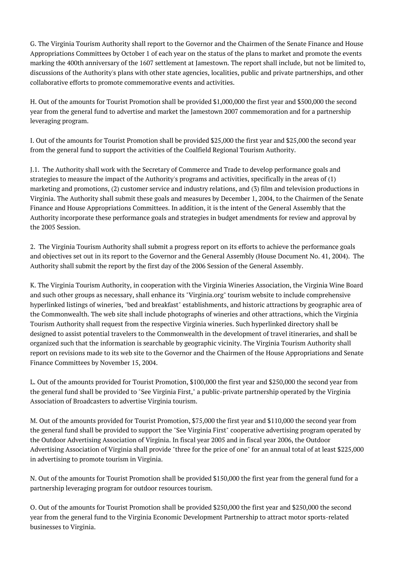G. The Virginia Tourism Authority shall report to the Governor and the Chairmen of the Senate Finance and House Appropriations Committees by October 1 of each year on the status of the plans to market and promote the events marking the 400th anniversary of the 1607 settlement at Jamestown. The report shall include, but not be limited to, discussions of the Authority's plans with other state agencies, localities, public and private partnerships, and other collaborative efforts to promote commemorative events and activities.

H. Out of the amounts for Tourist Promotion shall be provided \$1,000,000 the first year and \$500,000 the second year from the general fund to advertise and market the Jamestown 2007 commemoration and for a partnership leveraging program.

I. Out of the amounts for Tourist Promotion shall be provided \$25,000 the first year and \$25,000 the second year from the general fund to support the activities of the Coalfield Regional Tourism Authority.

J.1. The Authority shall work with the Secretary of Commerce and Trade to develop performance goals and strategies to measure the impact of the Authority's programs and activities, specifically in the areas of (1) marketing and promotions, (2) customer service and industry relations, and (3) film and television productions in Virginia. The Authority shall submit these goals and measures by December 1, 2004, to the Chairmen of the Senate Finance and House Appropriations Committees. In addition, it is the intent of the General Assembly that the Authority incorporate these performance goals and strategies in budget amendments for review and approval by the 2005 Session.

2. The Virginia Tourism Authority shall submit a progress report on its efforts to achieve the performance goals and objectives set out in its report to the Governor and the General Assembly (House Document No. 41, 2004). The Authority shall submit the report by the first day of the 2006 Session of the General Assembly.

K. The Virginia Tourism Authority, in cooperation with the Virginia Wineries Association, the Virginia Wine Board and such other groups as necessary, shall enhance its "Virginia.org" tourism website to include comprehensive hyperlinked listings of wineries, "bed and breakfast" establishments, and historic attractions by geographic area of the Commonwealth. The web site shall include photographs of wineries and other attractions, which the Virginia Tourism Authority shall request from the respective Virginia wineries. Such hyperlinked directory shall be designed to assist potential travelers to the Commonwealth in the development of travel itineraries, and shall be organized such that the information is searchable by geographic vicinity. The Virginia Tourism Authority shall report on revisions made to its web site to the Governor and the Chairmen of the House Appropriations and Senate Finance Committees by November 15, 2004.

L. Out of the amounts provided for Tourist Promotion, \$100,000 the first year and \$250,000 the second year from the general fund shall be provided to "See Virginia First," a public-private partnership operated by the Virginia Association of Broadcasters to advertise Virginia tourism.

M. Out of the amounts provided for Tourist Promotion, \$75,000 the first year and \$110,000 the second year from the general fund shall be provided to support the "See Virginia First" cooperative advertising program operated by the Outdoor Advertising Association of Virginia. In fiscal year 2005 and in fiscal year 2006, the Outdoor Advertising Association of Virginia shall provide "three for the price of one" for an annual total of at least \$225,000 in advertising to promote tourism in Virginia.

N. Out of the amounts for Tourist Promotion shall be provided \$150,000 the first year from the general fund for a partnership leveraging program for outdoor resources tourism.

O. Out of the amounts for Tourist Promotion shall be provided \$250,000 the first year and \$250,000 the second year from the general fund to the Virginia Economic Development Partnership to attract motor sports-related businesses to Virginia.